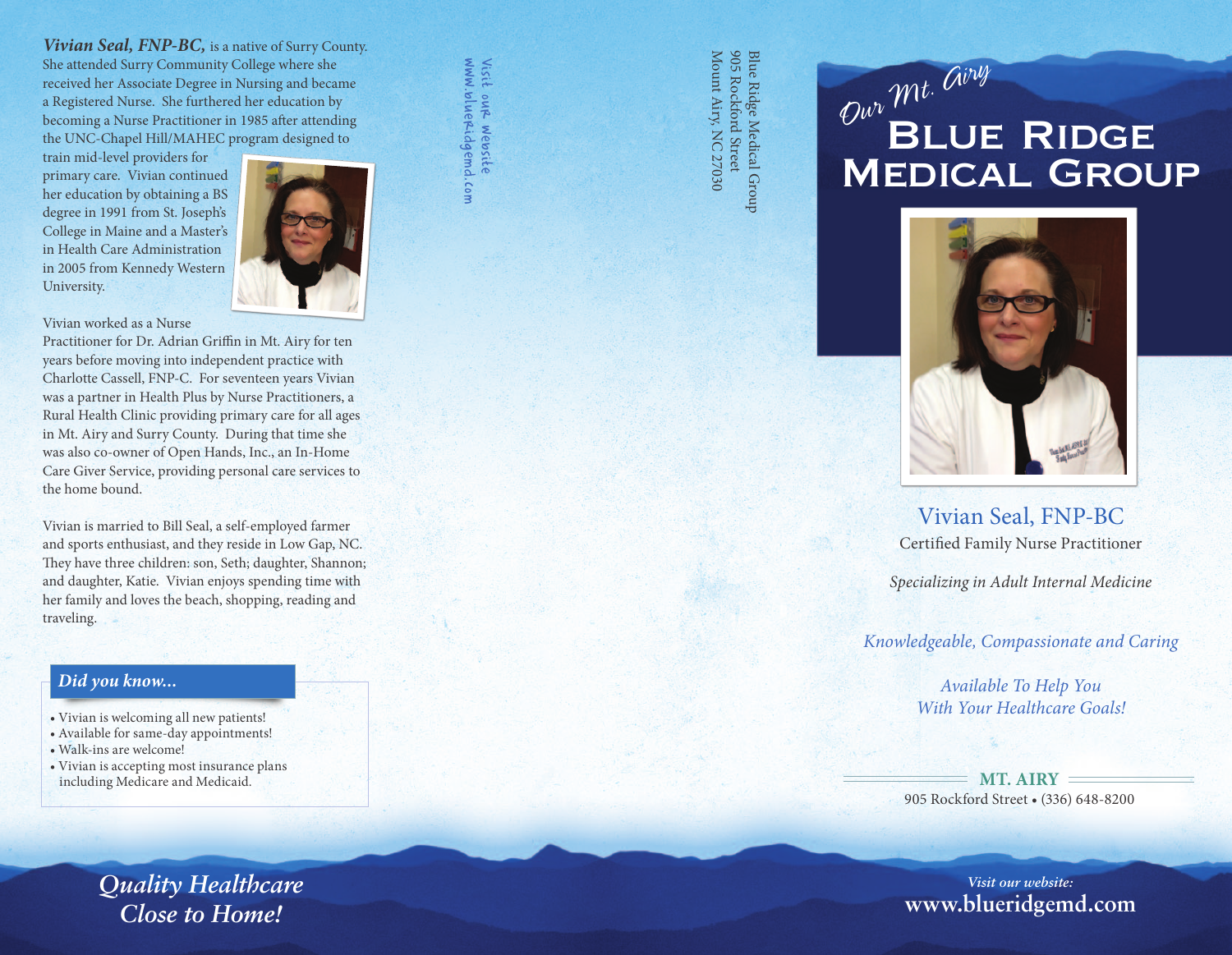*Vivian Seal, FNP-BC,* is a native of Surry County. She attended Surry Community College where she received her Associate Degree in Nursing and became a Registered Nurse. She furthered her education by becoming a Nurse Practitioner in 1985 after attending the UNC-Chapel Hill/MAHEC program designed to

train mid-level providers for primary care. Vivian continued her education by obtaining a BS degree in 1991 from St. Joseph's College in Maine and a Master's in Health Care Administration in 2005 from Kennedy Western University.



www.blueridgemd.com Visit our website

.com

Visit our website<br>www.blueridgemd

Vivian worked as a Nurse Practitioner for Dr. Adrian Griffin in Mt. Airy for ten years before moving into independent practice with Charlotte Cassell, FNP-C. For seventeen years Vivian was a partner in Health Plus by Nurse Practitioners, a Rural Health Clinic providing primary care for all ages in Mt. Airy and Surry County. During that time she was also co-owner of Open Hands, Inc., an In-Home Care Giver Service, providing personal care services to the home bound.

Vivian is married to Bill Seal, a self-employed farmer and sports enthusiast, and they reside in Low Gap, NC. They have three children: son, Seth; daughter, Shannon; and daughter, Katie. Vivian enjoys spending time with her family and loves the beach, shopping, reading and traveling.

## *Did you know...*

- Vivian is welcoming all new patients!
- Available for same-day appointments!
- Walk-ins are welcome!
- Vivian is accepting most insurance plans including Medicare and Medicaid.

*Quality Healthcare Close to Home!*

Blue Ridge Medical Group<br>905 Rockford Street<br>Mount Airy, NC 27030 Mount Airy, NC 27030 905 Rockford Street Blue Ridge Medical Group

# **BLUE RIDGE** Medical Group *Our Mt. Airy*



Vivian Seal, FNP-BC Certified Family Nurse Practitioner

*Specializing in Adult Internal Medicine*

*Knowledgeable, Compassionate and Caring*

*Available To Help You With Your Healthcare Goals!*

**MT. AIRY** 905 Rockford Street • (336) 648-8200

*Visit our website:* **www.blueridgemd.com**